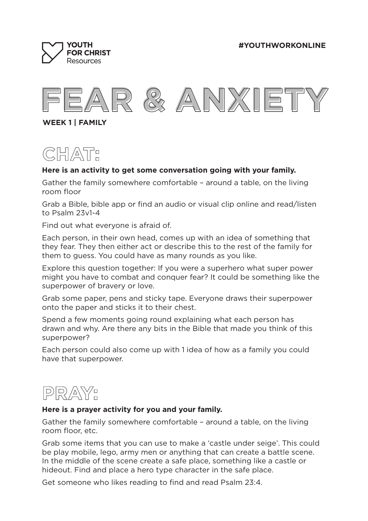**#YOUTHWORKONLINE**





**WEEK 1 | FAMILY**



## **Here is an activity to get some conversation going with your family.**

Gather the family somewhere comfortable – around a table, on the living room floor

Grab a Bible, bible app or find an audio or visual clip online and read/listen to Psalm 23v1-4

Find out what everyone is afraid of.

Each person, in their own head, comes up with an idea of something that they fear. They then either act or describe this to the rest of the family for them to guess. You could have as many rounds as you like.

Explore this question together: If you were a superhero what super power might you have to combat and conquer fear? It could be something like the superpower of bravery or love.

Grab some paper, pens and sticky tape. Everyone draws their superpower onto the paper and sticks it to their chest.

Spend a few moments going round explaining what each person has drawn and why. Are there any bits in the Bible that made you think of this superpower?

Each person could also come up with 1 idea of how as a family you could have that superpower.



## **Here is a prayer activity for you and your family.**

Gather the family somewhere comfortable – around a table, on the living room floor, etc.

Grab some items that you can use to make a 'castle under seige'. This could be play mobile, lego, army men or anything that can create a battle scene. In the middle of the scene create a safe place, something like a castle or hideout. Find and place a hero type character in the safe place.

Get someone who likes reading to find and read Psalm 23:4.